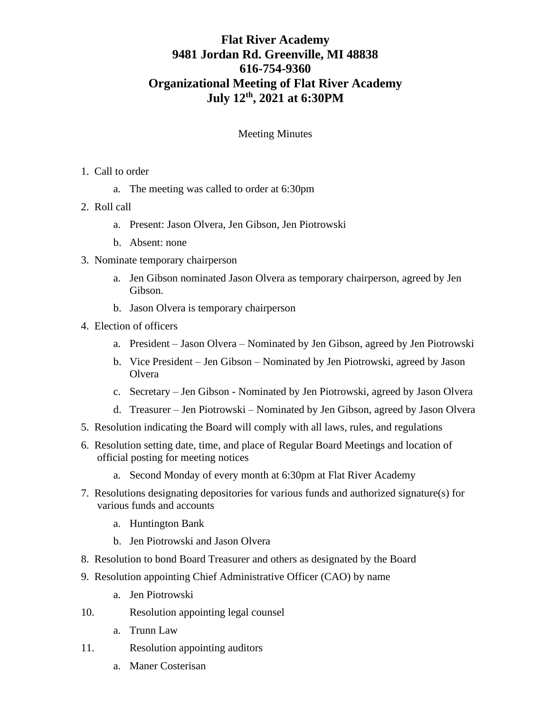## **Flat River Academy 9481 Jordan Rd. Greenville, MI 48838 616-754-9360 Organizational Meeting of Flat River Academy July 12th, 2021 at 6:30PM**

## Meeting Minutes

## 1. Call to order

- a. The meeting was called to order at 6:30pm
- 2. Roll call
	- a. Present: Jason Olvera, Jen Gibson, Jen Piotrowski
	- b. Absent: none
- 3. Nominate temporary chairperson
	- a. Jen Gibson nominated Jason Olvera as temporary chairperson, agreed by Jen Gibson.
	- b. Jason Olvera is temporary chairperson
- 4. Election of officers
	- a. President Jason Olvera Nominated by Jen Gibson, agreed by Jen Piotrowski
	- b. Vice President Jen Gibson Nominated by Jen Piotrowski, agreed by Jason **Olvera**
	- c. Secretary Jen Gibson Nominated by Jen Piotrowski, agreed by Jason Olvera
	- d. Treasurer Jen Piotrowski Nominated by Jen Gibson, agreed by Jason Olvera
- 5. Resolution indicating the Board will comply with all laws, rules, and regulations
- 6. Resolution setting date, time, and place of Regular Board Meetings and location of official posting for meeting notices
	- a. Second Monday of every month at 6:30pm at Flat River Academy
- 7. Resolutions designating depositories for various funds and authorized signature(s) for various funds and accounts
	- a. Huntington Bank
	- b. Jen Piotrowski and Jason Olvera
- 8. Resolution to bond Board Treasurer and others as designated by the Board
- 9. Resolution appointing Chief Administrative Officer (CAO) by name
	- a. Jen Piotrowski
- 10. Resolution appointing legal counsel
	- a. Trunn Law
- 11. Resolution appointing auditors
	- a. Maner Costerisan